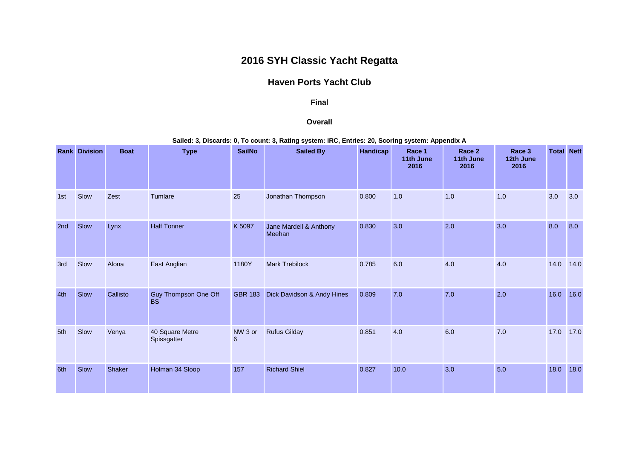## **2016 SYH Classic Yacht Regatta**

## **Haven Ports Yacht Club**

## **Final**

## **Overall**

**Sailed: 3, Discards: 0, To count: 3, Rating system: IRC, Entries: 20, Scoring system: Appendix A**

|     | <b>Rank Division</b> | <b>Boat</b> | <b>Type</b>                       | <b>SailNo</b>              | <b>Sailed By</b>                 | Handicap | Race 1<br>11th June<br>2016 | Race 2<br>11th June<br>2016 | Race 3<br>12th June<br>2016 | <b>Total Nett</b> |      |
|-----|----------------------|-------------|-----------------------------------|----------------------------|----------------------------------|----------|-----------------------------|-----------------------------|-----------------------------|-------------------|------|
| 1st | Slow                 | Zest        | Tumlare                           | 25                         | Jonathan Thompson                | 0.800    | 1.0                         | 1.0                         | 1.0                         | 3.0               | 3.0  |
| 2nd | Slow                 | Lynx        | <b>Half Tonner</b>                | K 5097                     | Jane Mardell & Anthony<br>Meehan | 0.830    | 3.0                         | 2.0                         | 3.0                         | 8.0               | 8.0  |
| 3rd | Slow                 | Alona       | East Anglian                      | 1180Y                      | <b>Mark Trebilock</b>            | 0.785    | 6.0                         | 4.0                         | 4.0                         | 14.0              | 14.0 |
| 4th | Slow                 | Callisto    | Guy Thompson One Off<br><b>BS</b> | <b>GBR 183</b>             | Dick Davidson & Andy Hines       | 0.809    | 7.0                         | 7.0                         | 2.0                         | 16.0              | 16.0 |
| 5th | Slow                 | Venya       | 40 Square Metre<br>Spissgatter    | NW 3 or<br>$6\phantom{1}6$ | <b>Rufus Gilday</b>              | 0.851    | 4.0                         | 6.0                         | 7.0                         | 17.0              | 17.0 |
| 6th | Slow                 | Shaker      | Holman 34 Sloop                   | 157                        | <b>Richard Shiel</b>             | 0.827    | 10.0                        | 3.0                         | 5.0                         | 18.0              | 18.0 |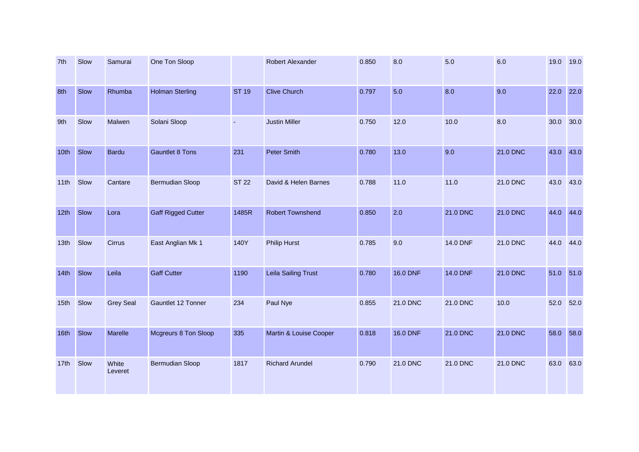| 7th              | Slow | Samurai          | One Ton Sloop             |              | Robert Alexander        | 0.850 | 8.0             | 5.0             | 6.0             | 19.0 | 19.0 |
|------------------|------|------------------|---------------------------|--------------|-------------------------|-------|-----------------|-----------------|-----------------|------|------|
| 8th              | Slow | Rhumba           | <b>Holman Sterling</b>    | <b>ST 19</b> | <b>Clive Church</b>     | 0.797 | 5.0             | 8.0             | 9.0             | 22.0 | 22.0 |
| 9th              | Slow | Malwen           | Solani Sloop              | ÷.           | <b>Justin Miller</b>    | 0.750 | 12.0            | 10.0            | 8.0             | 30.0 | 30.0 |
| 10th             | Slow | <b>Bardu</b>     | <b>Gauntlet 8 Tons</b>    | 231          | <b>Peter Smith</b>      | 0.780 | 13.0            | 9.0             | <b>21.0 DNC</b> | 43.0 | 43.0 |
| 11th             | Slow | Cantare          | <b>Bermudian Sloop</b>    | <b>ST 22</b> | David & Helen Barnes    | 0.788 | 11.0            | 11.0            | 21.0 DNC        | 43.0 | 43.0 |
| 12th             | Slow | Lora             | <b>Gaff Rigged Cutter</b> | 1485R        | <b>Robert Townshend</b> | 0.850 | 2.0             | <b>21.0 DNC</b> | 21.0 DNC        | 44.0 | 44.0 |
| 13 <sub>th</sub> | Slow | <b>Cirrus</b>    | East Anglian Mk 1         | 140Y         | <b>Philip Hurst</b>     | 0.785 | 9.0             | 14.0 DNF        | 21.0 DNC        | 44.0 | 44.0 |
| 14th             | Slow | Leila            | <b>Gaff Cutter</b>        | 1190         | Leila Sailing Trust     | 0.780 | <b>16.0 DNF</b> | <b>14.0 DNF</b> | 21.0 DNC        | 51.0 | 51.0 |
| 15 <sub>th</sub> | Slow | <b>Grey Seal</b> | Gauntlet 12 Tonner        | 234          | Paul Nye                | 0.855 | 21.0 DNC        | 21.0 DNC        | 10.0            | 52.0 | 52.0 |
| 16th             | Slow | Marelle          | Mcgreurs 8 Ton Sloop      | 335          | Martin & Louise Cooper  | 0.818 | <b>16.0 DNF</b> | <b>21.0 DNC</b> | 21.0 DNC        | 58.0 | 58.0 |
| 17th             | Slow | White<br>Leveret | Bermudian Sloop           | 1817         | <b>Richard Arundel</b>  | 0.790 | 21.0 DNC        | 21.0 DNC        | 21.0 DNC        | 63.0 | 63.0 |